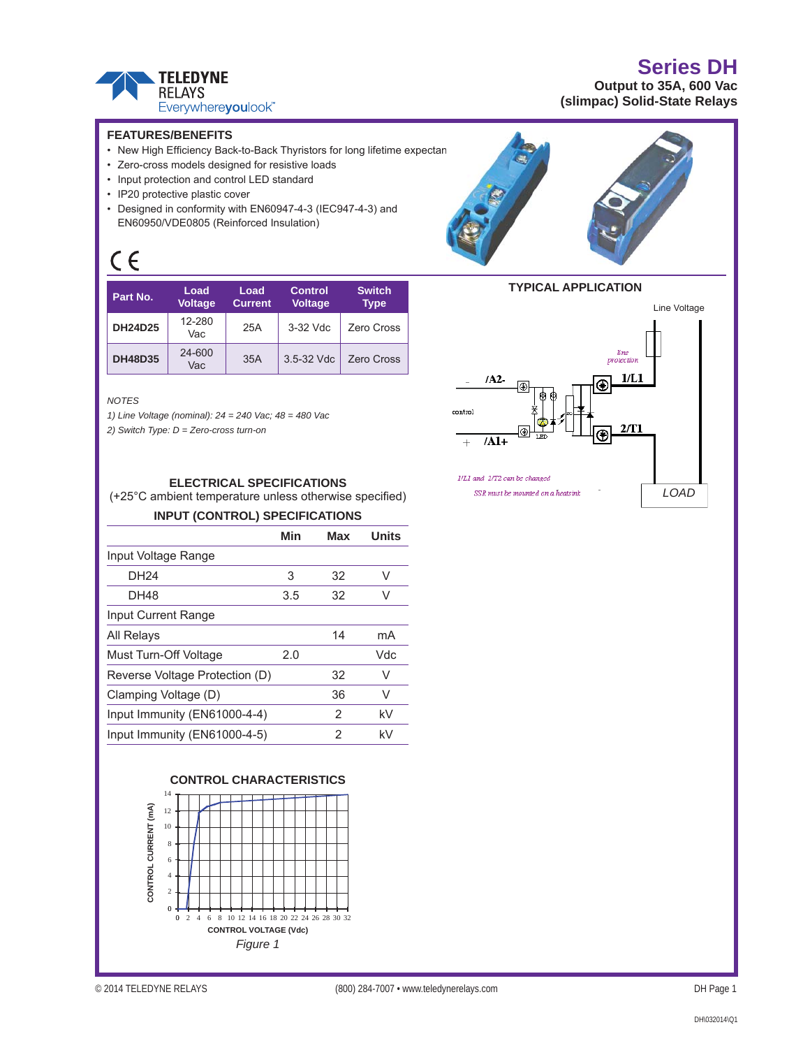

# **Series DH**

**Output to 35A, 600 Vac (slimpac) Solid-State Relays** 

#### **FEATURES/BENEFITS**

- New High Efficiency Back-to-Back Thyristors for long lifetime expectan
- Zero-cross models designed for resistive loads
- Input protection and control LED standard
- IP20 protective plastic cover
- Designed in conformity with EN60947-4-3 (IEC947-4-3) and EN60950/VDE0805 (Reinforced Insulation)





| Part No.       | Load<br><b>Voltage</b> | Load<br><b>Current</b> | <b>Control</b><br><b>Voltage</b> | <b>Switch</b><br><b>Type</b> |  |
|----------------|------------------------|------------------------|----------------------------------|------------------------------|--|
| <b>DH24D25</b> | 12-280<br>Vac          | 25A                    | 3-32 Vdc                         | Zero Cross                   |  |
| <b>DH48D35</b> | 24-600<br>Vac          | 35A                    | 3.5-32 Vdc                       | <b>Zero Cross</b>            |  |

#### *NOTES*

 $C \in$ 

*1) Line Voltage (nominal): 24 = 240 Vac; 48 = 480 Vac*

*2) Switch Type: D = Zero-cross turn-on*



(+25°C ambient temperature unless otherwise specified)

#### **INPUT (CONTROL) SPECIFICATIONS**

|                                | Min | Max | <b>Units</b> |
|--------------------------------|-----|-----|--------------|
| Input Voltage Range            |     |     |              |
| <b>DH24</b>                    | 3   | 32  | V            |
| <b>DH48</b>                    | 3.5 | 32  | V            |
| Input Current Range            |     |     |              |
| All Relays                     |     | 14  | mA           |
| Must Turn-Off Voltage          | 2.0 |     | Vdc          |
| Reverse Voltage Protection (D) |     | 32  | V            |
| Clamping Voltage (D)           |     | 36  | V            |
| Input Immunity (EN61000-4-4)   |     | 2   | kV           |
| Input Immunity (EN61000-4-5)   |     | 2   | kV           |





SSR must be mounted on a heatsink

*LOAD*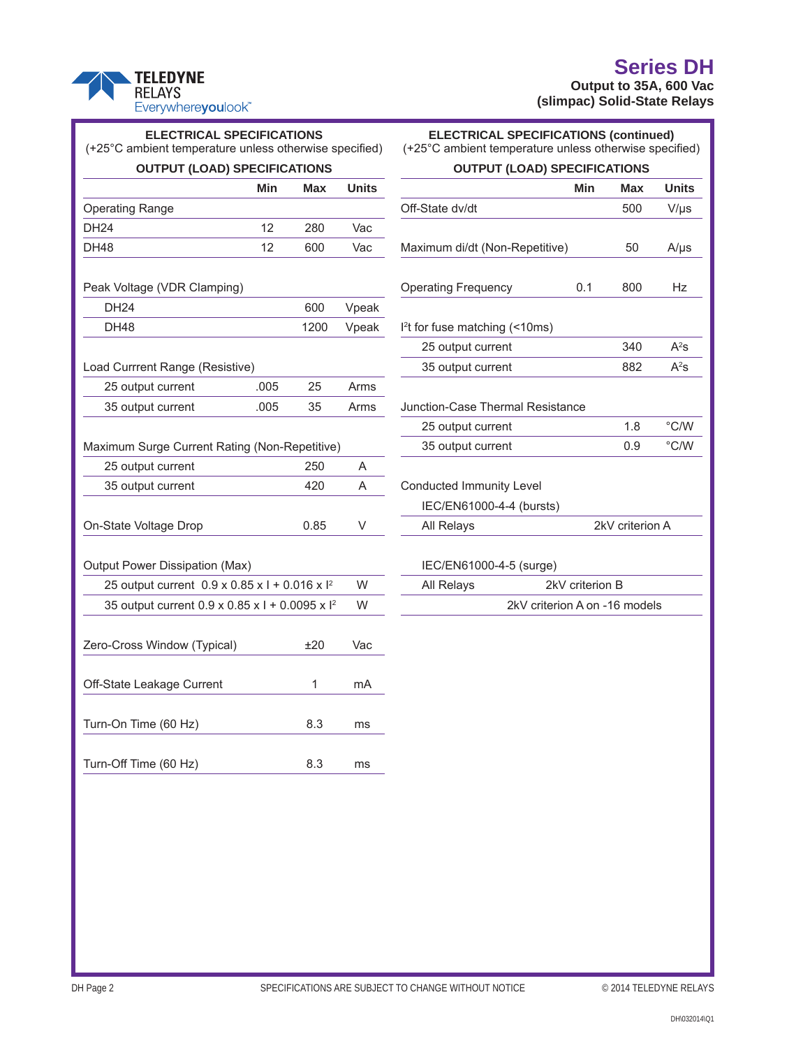

## **Series DH Output to 35A, 600 Vac**

**(slimpac) Solid-State Relays** 

| <b>ELECTRICAL SPECIFICATIONS</b><br>(+25°C ambient temperature unless otherwise specified) |            |      | <b>ELECTRICAL SPECIFICATIONS (continued)</b><br>(+25°C ambient temperature unless otherwise specified) |                                     |            |                 |               |  |
|--------------------------------------------------------------------------------------------|------------|------|--------------------------------------------------------------------------------------------------------|-------------------------------------|------------|-----------------|---------------|--|
| <b>OUTPUT (LOAD) SPECIFICATIONS</b>                                                        |            |      |                                                                                                        | <b>OUTPUT (LOAD) SPECIFICATIONS</b> |            |                 |               |  |
|                                                                                            | <b>Min</b> | Max  | <b>Units</b>                                                                                           |                                     | <b>Min</b> | Max             | <b>Units</b>  |  |
| <b>Operating Range</b>                                                                     |            |      |                                                                                                        | Off-State dv/dt                     |            | 500             | $V/\mu s$     |  |
| <b>DH24</b>                                                                                | 12         | 280  | Vac                                                                                                    |                                     |            |                 |               |  |
| DH48                                                                                       | 12         | 600  | Vac                                                                                                    | Maximum di/dt (Non-Repetitive)      |            | 50              | $A/\mu s$     |  |
| Peak Voltage (VDR Clamping)                                                                |            |      |                                                                                                        | <b>Operating Frequency</b>          | 0.1        | 800             | Hz            |  |
| DH24                                                                                       |            | 600  | Vpeak                                                                                                  |                                     |            |                 |               |  |
| <b>DH48</b>                                                                                |            | 1200 | Vpeak                                                                                                  | $l2$ t for fuse matching (<10ms)    |            |                 |               |  |
|                                                                                            |            |      |                                                                                                        | 25 output current                   |            | 340             | $A^2S$        |  |
| Load Currrent Range (Resistive)                                                            |            |      |                                                                                                        | 35 output current                   |            | 882             | $A^2S$        |  |
| 25 output current                                                                          | .005       | 25   | Arms                                                                                                   |                                     |            |                 |               |  |
| 35 output current                                                                          | .005       | 35   | Arms                                                                                                   | Junction-Case Thermal Resistance    |            |                 |               |  |
|                                                                                            |            |      |                                                                                                        | 25 output current                   |            | 1.8             | $\degree$ C/W |  |
| Maximum Surge Current Rating (Non-Repetitive)                                              |            |      |                                                                                                        | 35 output current                   |            | 0.9             | $\degree$ C/W |  |
| 25 output current                                                                          |            | 250  | A                                                                                                      |                                     |            |                 |               |  |
| 35 output current                                                                          |            | 420  | A                                                                                                      | <b>Conducted Immunity Level</b>     |            |                 |               |  |
|                                                                                            |            |      |                                                                                                        | IEC/EN61000-4-4 (bursts)            |            |                 |               |  |
| On-State Voltage Drop                                                                      |            | 0.85 | $\vee$                                                                                                 | All Relays                          |            | 2kV criterion A |               |  |
| Output Power Dissipation (Max)                                                             |            |      |                                                                                                        | IEC/EN61000-4-5 (surge)             |            |                 |               |  |
| 25 output current 0.9 x 0.85 x I + 0.016 x I <sup>2</sup><br>W                             |            |      | All Relays                                                                                             | 2kV criterion B                     |            |                 |               |  |
| 35 output current 0.9 x 0.85 x I + 0.0095 x I <sup>2</sup>                                 |            | W    |                                                                                                        | 2kV criterion A on -16 models       |            |                 |               |  |
| Zero-Cross Window (Typical)                                                                |            | ±20  | Vac                                                                                                    |                                     |            |                 |               |  |
| Off-State Leakage Current                                                                  |            | 1    | mA                                                                                                     |                                     |            |                 |               |  |
| Turn-On Time (60 Hz)                                                                       |            | 8.3  | ms                                                                                                     |                                     |            |                 |               |  |
| Turn-Off Time (60 Hz)                                                                      |            | 8.3  | ms                                                                                                     |                                     |            |                 |               |  |
|                                                                                            |            |      |                                                                                                        |                                     |            |                 |               |  |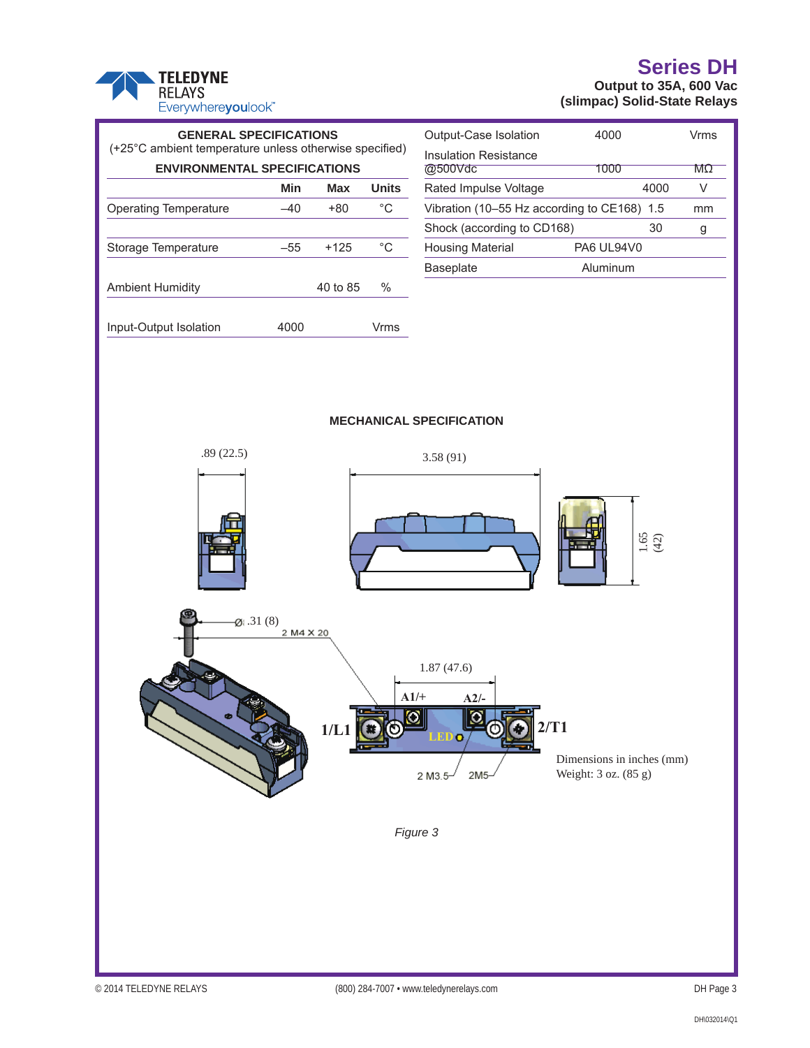

#### **Series DH Output to 35A, 600 Vac (slimpac) Solid-State Relays**

| <b>GENERAL SPECIFICATIONS</b><br>(+25°C ambient temperature unless otherwise specified)<br><b>ENVIRONMENTAL SPECIFICATIONS</b> |            |            | Output-Case Isolation<br><b>Insulation Resistance</b> | 4000                                        | Vrms           |    |
|--------------------------------------------------------------------------------------------------------------------------------|------------|------------|-------------------------------------------------------|---------------------------------------------|----------------|----|
|                                                                                                                                |            |            | @500Vdc                                               | 1000                                        | $M\Omega$      |    |
|                                                                                                                                | <b>Min</b> | <b>Max</b> | <b>Units</b>                                          | Rated Impulse Voltage                       | 4000           | V  |
| <b>Operating Temperature</b>                                                                                                   | $-40$      | $+80$      | $^{\circ}{\rm C}$                                     | Vibration (10-55 Hz according to CE168) 1.5 |                | mm |
|                                                                                                                                |            |            |                                                       | Shock (according to CD168)                  | 30             | g  |
| Storage Temperature                                                                                                            | $-55$      | $+125$     | $^{\circ}{\rm C}$                                     | <b>Housing Material</b>                     | PA6 UL94V0     |    |
|                                                                                                                                |            |            |                                                       | <b>Baseplate</b>                            | Aluminum       |    |
| <b>Ambient Humidity</b>                                                                                                        |            | 40 to 85   | $\%$                                                  |                                             |                |    |
| Input-Output Isolation                                                                                                         | 4000       |            | <b>Vrms</b>                                           |                                             |                |    |
| .89(22.5)                                                                                                                      |            |            |                                                       | <b>MECHANICAL SPECIFICATION</b>             |                |    |
|                                                                                                                                |            |            |                                                       | 3.58(91)                                    | $1.65$<br>(42) |    |



*Figure 3*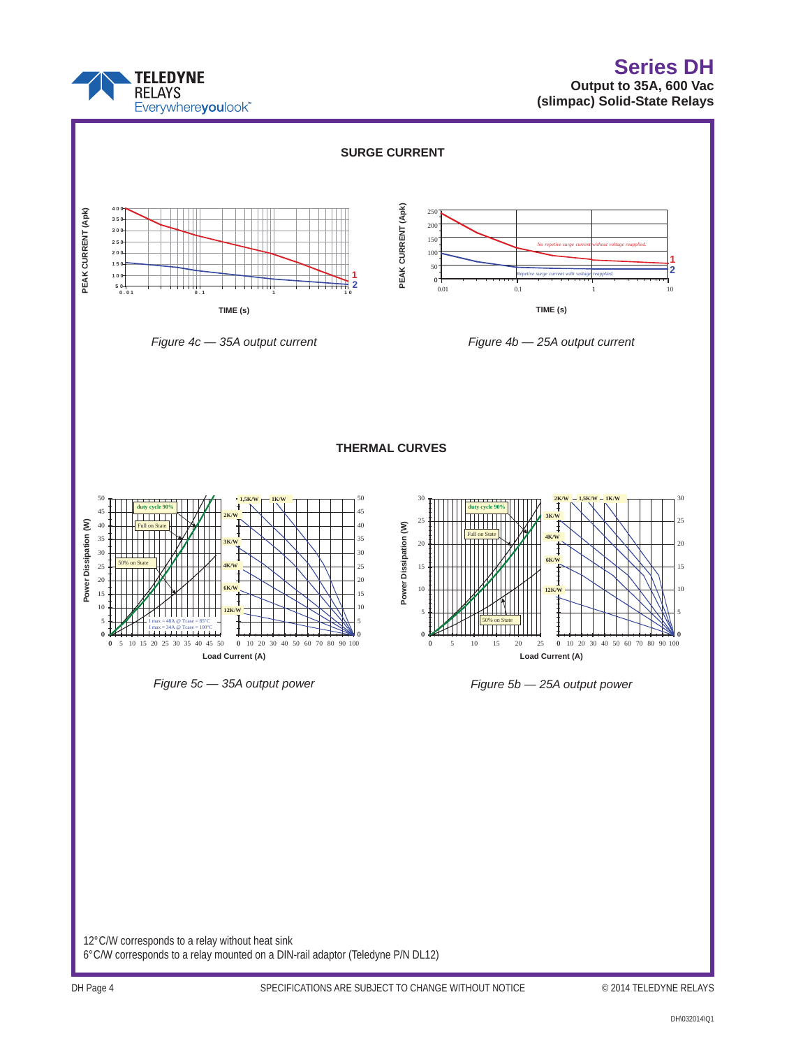### **Series DH Output to 35A, 600 Vac**

**(slimpac) Solid-State Relays** 



6°C/W corresponds to a relay mounted on a DIN-rail adaptor (Teledyne P/N DL12)

**TELEDYNE RELAYS** 

Everywhereyoulook<sup>\*\*</sup>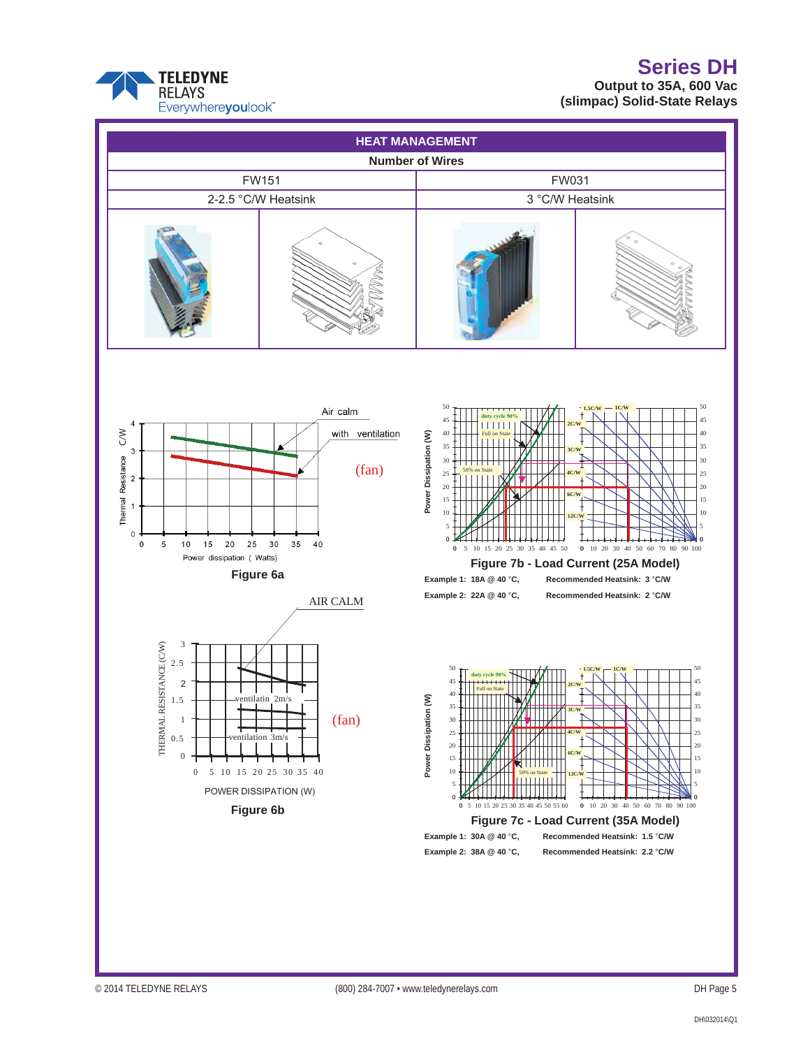## **Series DH Output to 35A, 600 Vac**

**(slimpac) Solid-State Relays**